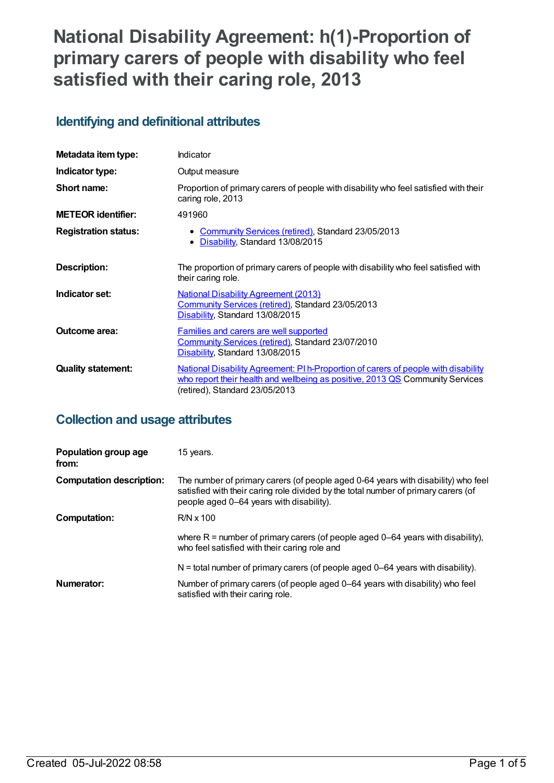# **National Disability Agreement: h(1)-Proportion of primary carers of people with disability who feel satisfied with their caring role, 2013**

# **Identifying and definitional attributes**

| Metadata item type:         | Indicator                                                                                                                                                                                             |
|-----------------------------|-------------------------------------------------------------------------------------------------------------------------------------------------------------------------------------------------------|
| Indicator type:             | Output measure                                                                                                                                                                                        |
| Short name:                 | Proportion of primary carers of people with disability who feel satisfied with their<br>caring role, 2013                                                                                             |
| <b>METEOR identifier:</b>   | 491960                                                                                                                                                                                                |
| <b>Registration status:</b> | • Community Services (retired), Standard 23/05/2013<br>Disability, Standard 13/08/2015<br>٠                                                                                                           |
| Description:                | The proportion of primary carers of people with disability who feel satisfied with<br>their caring role.                                                                                              |
| Indicator set:              | <b>National Disability Agreement (2013)</b><br>Community Services (retired), Standard 23/05/2013<br>Disability, Standard 13/08/2015                                                                   |
| Outcome area:               | Families and carers are well supported<br>Community Services (retired), Standard 23/07/2010<br>Disability, Standard 13/08/2015                                                                        |
| <b>Quality statement:</b>   | National Disability Agreement: PI h-Proportion of carers of people with disability<br>who report their health and wellbeing as positive, 2013 QS Community Services<br>(retired), Standard 23/05/2013 |

# **Collection and usage attributes**

| Population group age<br>from:   | 15 years.                                                                                                                                                                                                           |
|---------------------------------|---------------------------------------------------------------------------------------------------------------------------------------------------------------------------------------------------------------------|
| <b>Computation description:</b> | The number of primary carers (of people aged 0-64 years with disability) who feel<br>satisfied with their caring role divided by the total number of primary carers (of<br>people aged 0–64 years with disability). |
| Computation:                    | $R/N \times 100$                                                                                                                                                                                                    |
|                                 | where $R =$ number of primary carers (of people aged 0–64 years with disability),<br>who feel satisfied with their caring role and                                                                                  |
|                                 | $N =$ total number of primary carers (of people aged 0–64 years with disability).                                                                                                                                   |
| Numerator:                      | Number of primary carers (of people aged 0–64 years with disability) who feel<br>satisfied with their caring role.                                                                                                  |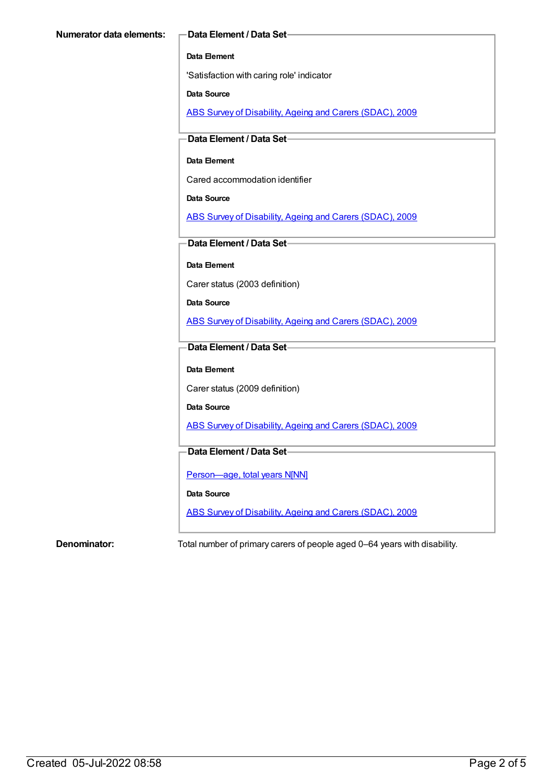#### **Data Element**

'Satisfaction with caring role' indicator

**Data Source**

ABS Survey of [Disability,](https://meteor.aihw.gov.au/content/445288) Ageing and Carers (SDAC), 2009

**Data Element / Data Set**

#### **Data Element**

Cared accommodation identifier

**Data Source**

ABS Survey of [Disability,](https://meteor.aihw.gov.au/content/445288) Ageing and Carers (SDAC), 2009

**Data Element / Data Set**

**Data Element**

Carer status (2003 definition)

**Data Source**

ABS Survey of [Disability,](https://meteor.aihw.gov.au/content/445288) Ageing and Carers (SDAC), 2009

### **Data Element / Data Set**

#### **Data Element**

Carer status (2009 definition)

**Data Source**

ABS Survey of [Disability,](https://meteor.aihw.gov.au/content/445288) Ageing and Carers (SDAC), 2009

### **Data Element / Data Set**

Person-age, total years N[NN]

**Data Source**

ABS Survey of [Disability,](https://meteor.aihw.gov.au/content/445288) Ageing and Carers (SDAC), 2009

**Denominator:** Total number of primary carers of people aged 0–64 years with disability.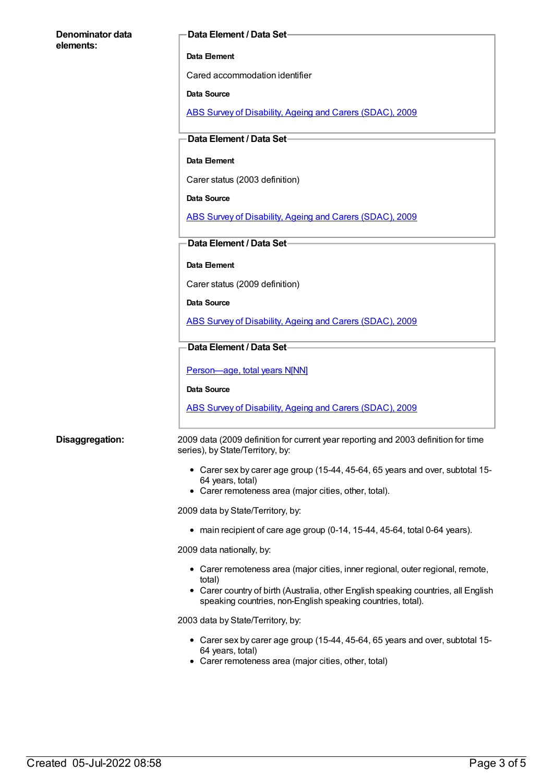| Denominator data |  |
|------------------|--|
| elements:        |  |

#### **Data Element / Data Set**

#### **Data Element**

Cared accommodation identifier

#### **Data Source**

ABS Survey of [Disability,](https://meteor.aihw.gov.au/content/445288) Ageing and Carers (SDAC), 2009

#### **Data Element / Data Set**

#### **Data Element**

Carer status (2003 definition)

#### **Data Source**

ABS Survey of [Disability,](https://meteor.aihw.gov.au/content/445288) Ageing and Carers (SDAC), 2009

#### **Data Element / Data Set**

#### **Data Element**

Carer status (2009 definition)

#### **Data Source**

ABS Survey of [Disability,](https://meteor.aihw.gov.au/content/445288) Ageing and Carers (SDAC), 2009

#### **Data Element / Data Set**

Person-age, total years N[NN]

**Data Source**

ABS Survey of [Disability,](https://meteor.aihw.gov.au/content/445288) Ageing and Carers (SDAC), 2009

**Disaggregation:** 2009 data (2009 definition for current year reporting and 2003 definition for time series), by State/Territory, by:

- Carer sex by carer age group (15-44, 45-64, 65 years and over, subtotal 15- 64 years, total)
- Carer remoteness area (major cities, other, total).

2009 data by State/Territory, by:

main recipient of care age group (0-14, 15-44, 45-64, total 0-64 years).

2009 data nationally, by:

- Carer remoteness area (major cities, inner regional, outer regional, remote, total)
- Carer country of birth (Australia, other English speaking countries, all English speaking countries, non-English speaking countries, total).

2003 data by State/Territory, by:

- Carer sex by carer age group (15-44, 45-64, 65 years and over, subtotal 15- 64 years, total)
- Carer remoteness area (major cities, other, total)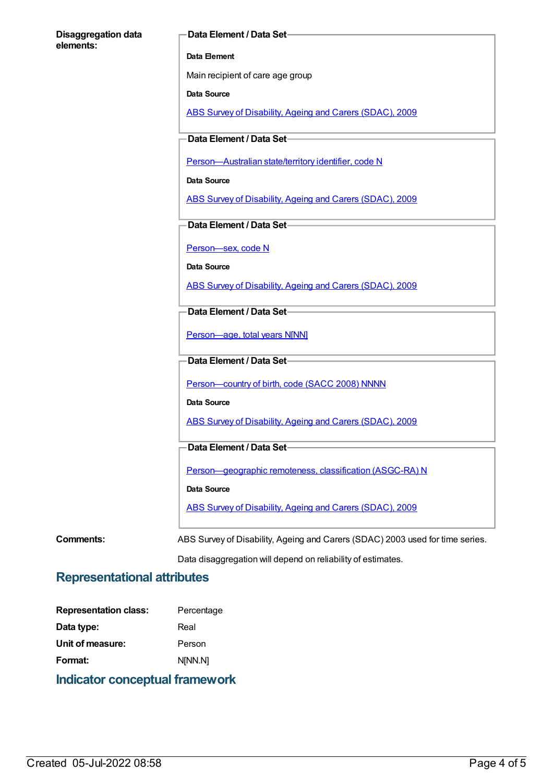#### **Disaggregation data elements:**

#### **Data Element / Data Set**

#### **Data Element**

Main recipient of care age group

**Data Source**

ABS Survey of [Disability,](https://meteor.aihw.gov.au/content/445288) Ageing and Carers (SDAC), 2009

**Data Element / Data Set**

[Person—Australian](https://meteor.aihw.gov.au/content/286919) state/territory identifier, code N

**Data Source**

ABS Survey of [Disability,](https://meteor.aihw.gov.au/content/445288) Ageing and Carers (SDAC), 2009

**Data Element / Data Set**

[Person—sex,](https://meteor.aihw.gov.au/content/287316) code N

**Data Source**

ABS Survey of [Disability,](https://meteor.aihw.gov.au/content/445288) Ageing and Carers (SDAC), 2009

**Data Element / Data Set**

Person-age, total years N[NN]

**Data Element / Data Set**

Person-country of birth, code (SACC 2008) NNNN

**Data Source**

ABS Survey of [Disability,](https://meteor.aihw.gov.au/content/445288) Ageing and Carers (SDAC), 2009

**Data Element / Data Set**

[Person—geographic](https://meteor.aihw.gov.au/content/489826) remoteness, classification (ASGC-RA) N

**Data Source**

ABS Survey of [Disability,](https://meteor.aihw.gov.au/content/445288) Ageing and Carers (SDAC), 2009

**Comments:** ABS Survey of Disability, Ageing and Carers (SDAC) 2003 used for time series.

Data disaggregation will depend on reliability of estimates.

## **Representational attributes**

| Percentage |
|------------|
| Real       |
| Person     |
| N[NN.N]    |
|            |

**Indicator conceptual framework**